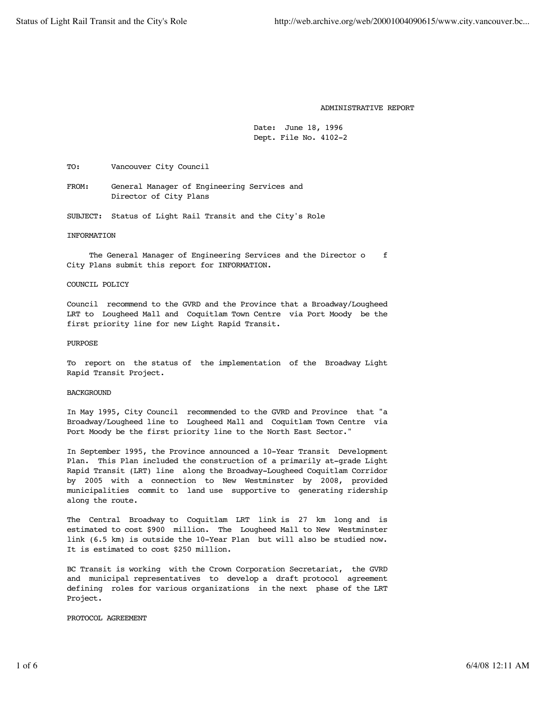#### ADMINISTRATIVE REPORT

 Date: June 18, 1996 Dept. File No. 4102-2

TO: Vancouver City Council

 FROM: General Manager of Engineering Services and Director of City Plans

SUBJECT: Status of Light Rail Transit and the City's Role

## INFORMATION

The General Manager of Engineering Services and the Director o f City Plans submit this report for INFORMATION.

#### COUNCIL POLICY

 Council recommend to the GVRD and the Province that a Broadway/Lougheed LRT to Lougheed Mall and Coquitlam Town Centre via Port Moody be the first priority line for new Light Rapid Transit.

### PURPOSE

 To report on the status of the implementation of the Broadway Light Rapid Transit Project.

## BACKGROUND

 In May 1995, City Council recommended to the GVRD and Province that "a Broadway/Lougheed line to Lougheed Mall and Coquitlam Town Centre via Port Moody be the first priority line to the North East Sector."

 In September 1995, the Province announced a 10-Year Transit Development Plan. This Plan included the construction of a primarily at-grade Light Rapid Transit (LRT) line along the Broadway-Lougheed Coquitlam Corridor by 2005 with a connection to New Westminster by 2008, provided municipalities commit to land use supportive to generating ridership along the route.

 The Central Broadway to Coquitlam LRT link is 27 km long and is estimated to cost \$900 million. The Lougheed Mall to New Westminster link (6.5 km) is outside the 10-Year Plan but will also be studied now. It is estimated to cost \$250 million.

 BC Transit is working with the Crown Corporation Secretariat, the GVRD and municipal representatives to develop a draft protocol agreement defining roles for various organizations in the next phase of the LRT Project.

PROTOCOL AGREEMENT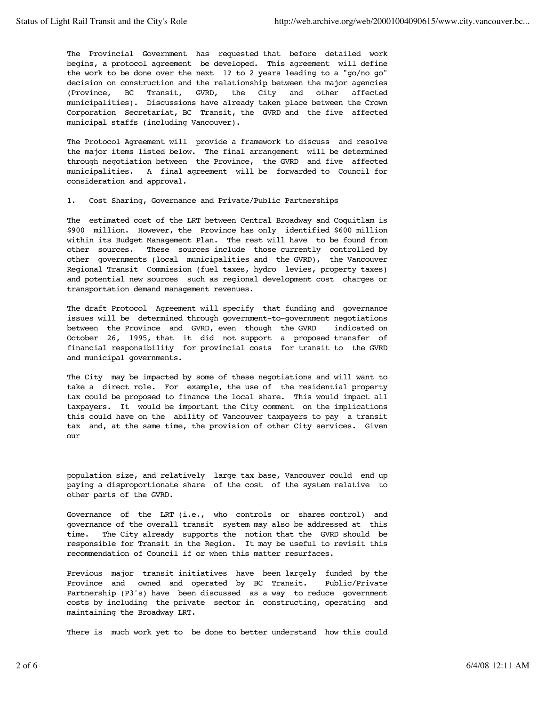The Provincial Government has requested that before detailed work begins, a protocol agreement be developed. This agreement will define the work to be done over the next 1? to 2 years leading to a "go/no go" decision on construction and the relationship between the major agencies (Province, BC Transit, GVRD, the City and other affected municipalities). Discussions have already taken place between the Crown Corporation Secretariat, BC Transit, the GVRD and the five affected municipal staffs (including Vancouver).

 The Protocol Agreement will provide a framework to discuss and resolve the major items listed below. The final arrangement will be determined through negotiation between the Province, the GVRD and five affected municipalities. A final agreement will be forwarded to Council for consideration and approval.

1. Cost Sharing, Governance and Private/Public Partnerships

 The estimated cost of the LRT between Central Broadway and Coquitlam is \$900 million. However, the Province has only identified \$600 million within its Budget Management Plan. The rest will have to be found from other sources. These sources include those currently controlled by other governments (local municipalities and the GVRD), the Vancouver Regional Transit Commission (fuel taxes, hydro levies, property taxes) and potential new sources such as regional development cost charges or transportation demand management revenues.

 The draft Protocol Agreement will specify that funding and governance issues will be determined through government-to-government negotiations between the Province and GVRD, even though the GVRD indicated on October 26, 1995, that it did not support a proposed transfer of financial responsibility for provincial costs for transit to the GVRD and municipal governments.

 The City may be impacted by some of these negotiations and will want to take a direct role. For example, the use of the residential property tax could be proposed to finance the local share. This would impact all taxpayers. It would be important the City comment on the implications this could have on the ability of Vancouver taxpayers to pay a transit tax and, at the same time, the provision of other City services. Given our

 population size, and relatively large tax base, Vancouver could end up paying a disproportionate share of the cost of the system relative to other parts of the GVRD.

 Governance of the LRT (i.e., who controls or shares control) and governance of the overall transit system may also be addressed at this time. The City already supports the notion that the GVRD should be responsible for Transit in the Region. It may be useful to revisit this recommendation of Council if or when this matter resurfaces.

 Previous major transit initiatives have been largely funded by the Province and owned and operated by BC Transit. Public/Private Partnership (P3's) have been discussed as a way to reduce government costs by including the private sector in constructing, operating and maintaining the Broadway LRT.

There is much work yet to be done to better understand how this could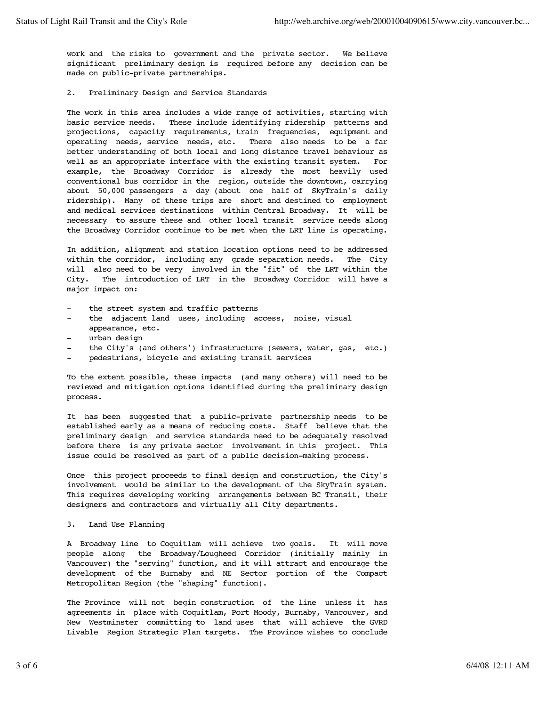work and the risks to government and the private sector. We believe significant preliminary design is required before any decision can be made on public-private partnerships.

2. Preliminary Design and Service Standards

 The work in this area includes a wide range of activities, starting with basic service needs. These include identifying ridership patterns and projections, capacity requirements, train frequencies, equipment and operating needs, service needs, etc. There also needs to be a far better understanding of both local and long distance travel behaviour as well as an appropriate interface with the existing transit system. For example, the Broadway Corridor is already the most heavily used conventional bus corridor in the region, outside the downtown, carrying about 50,000 passengers a day (about one half of SkyTrain's daily ridership). Many of these trips are short and destined to employment and medical services destinations within Central Broadway. It will be necessary to assure these and other local transit service needs along the Broadway Corridor continue to be met when the LRT line is operating.

 In addition, alignment and station location options need to be addressed within the corridor, including any grade separation needs. The City will also need to be very involved in the "fit" of the LRT within the City. The introduction of LRT in the Broadway Corridor will have a major impact on:

- the street system and traffic patterns
- the adjacent land uses, including access, noise, visual appearance, etc.
- urban design
- the City's (and others') infrastructure (sewers, water, gas, etc.)
- pedestrians, bicycle and existing transit services

 To the extent possible, these impacts (and many others) will need to be reviewed and mitigation options identified during the preliminary design process.

 It has been suggested that a public-private partnership needs to be established early as a means of reducing costs. Staff believe that the preliminary design and service standards need to be adequately resolved before there is any private sector involvement in this project. This issue could be resolved as part of a public decision-making process.

 Once this project proceeds to final design and construction, the City's involvement would be similar to the development of the SkyTrain system. This requires developing working arrangements between BC Transit, their designers and contractors and virtually all City departments.

3. Land Use Planning

 A Broadway line to Coquitlam will achieve two goals. It will move people along the Broadway/Lougheed Corridor (initially mainly in Vancouver) the "serving" function, and it will attract and encourage the development of the Burnaby and NE Sector portion of the Compact Metropolitan Region (the "shaping" function).

 The Province will not begin construction of the line unless it has agreements in place with Coquitlam, Port Moody, Burnaby, Vancouver, and New Westminster committing to land uses that will achieve the GVRD Livable Region Strategic Plan targets. The Province wishes to conclude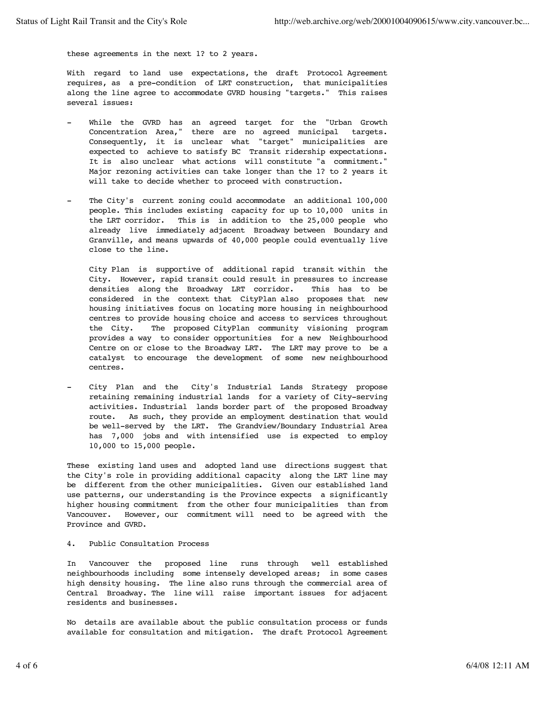these agreements in the next 1? to 2 years.

 With regard to land use expectations, the draft Protocol Agreement requires, as a pre-condition of LRT construction, that municipalities along the line agree to accommodate GVRD housing "targets." This raises several issues:

- While the GVRD has an agreed target for the "Urban Growth Concentration Area," there are no agreed municipal targets. Consequently, it is unclear what "target" municipalities are expected to achieve to satisfy BC Transit ridership expectations. It is also unclear what actions will constitute "a commitment." Major rezoning activities can take longer than the 1? to 2 years it will take to decide whether to proceed with construction.
- The City's current zoning could accommodate an additional 100,000 people. This includes existing capacity for up to 10,000 units in the LRT corridor. This is in addition to the 25,000 people who already live immediately adjacent Broadway between Boundary and Granville, and means upwards of 40,000 people could eventually live close to the line.

 City Plan is supportive of additional rapid transit within the City. However, rapid transit could result in pressures to increase densities along the Broadway LRT corridor. This has to be considered in the context that CityPlan also proposes that new housing initiatives focus on locating more housing in neighbourhood centres to provide housing choice and access to services throughout the City. The proposed CityPlan community visioning program provides a way to consider opportunities for a new Neighbourhood Centre on or close to the Broadway LRT. The LRT may prove to be a catalyst to encourage the development of some new neighbourhood centres.

City Plan and the City's Industrial Lands Strategy propose retaining remaining industrial lands for a variety of City-serving activities. Industrial lands border part of the proposed Broadway route. As such, they provide an employment destination that would be well-served by the LRT. The Grandview/Boundary Industrial Area has 7,000 jobs and with intensified use is expected to employ 10,000 to 15,000 people.

 These existing land uses and adopted land use directions suggest that the City's role in providing additional capacity along the LRT line may be different from the other municipalities. Given our established land use patterns, our understanding is the Province expects a significantly higher housing commitment from the other four municipalities than from Vancouver. However, our commitment will need to be agreed with the Province and GVRD.

# 4. Public Consultation Process

 In Vancouver the proposed line runs through well established neighbourhoods including some intensely developed areas; in some cases high density housing. The line also runs through the commercial area of Central Broadway. The line will raise important issues for adjacent residents and businesses.

 No details are available about the public consultation process or funds available for consultation and mitigation. The draft Protocol Agreement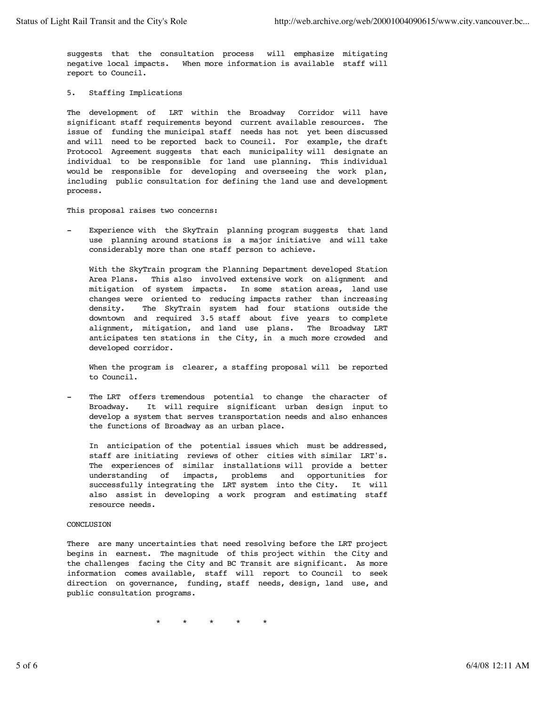suggests that the consultation process will emphasize mitigating negative local impacts. When more information is available staff will report to Council.

## 5. Staffing Implications

 The development of LRT within the Broadway Corridor will have significant staff requirements beyond current available resources. The issue of funding the municipal staff needs has not yet been discussed and will need to be reported back to Council. For example, the draft Protocol Agreement suggests that each municipality will designate an individual to be responsible for land use planning. This individual would be responsible for developing and overseeing the work plan, including public consultation for defining the land use and development process.

This proposal raises two concerns:

 - Experience with the SkyTrain planning program suggests that land use planning around stations is a major initiative and will take considerably more than one staff person to achieve.

 With the SkyTrain program the Planning Department developed Station Area Plans. This also involved extensive work on alignment and mitigation of system impacts. In some station areas, land use changes were oriented to reducing impacts rather than increasing density. The SkyTrain system had four stations outside the downtown and required 3.5 staff about five years to complete alignment, mitigation, and land use plans. The Broadway LRT anticipates ten stations in the City, in a much more crowded and developed corridor.

When the program is clearer, a staffing proposal will be reported to Council.

The LRT offers tremendous potential to change the character of Broadway. It will require significant urban design input to develop a system that serves transportation needs and also enhances the functions of Broadway as an urban place.

 In anticipation of the potential issues which must be addressed, staff are initiating reviews of other cities with similar LRT's. The experiences of similar installations will provide a better understanding of impacts, problems and opportunities for successfully integrating the LRT system into the City. It will also assist in developing a work program and estimating staff resource needs.

## CONCLUSION

 There are many uncertainties that need resolving before the LRT project begins in earnest. The magnitude of this project within the City and the challenges facing the City and BC Transit are significant. As more information comes available, staff will report to Council to seek direction on governance, funding, staff needs, design, land use, and public consultation programs.

\* \* \* \* \*